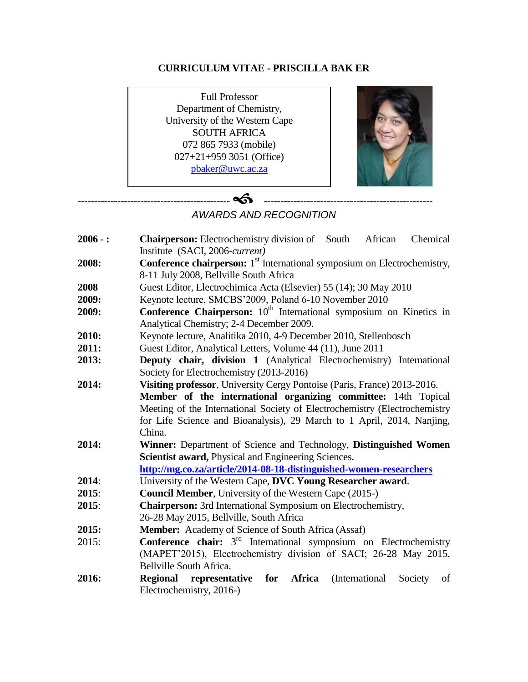# **CURRICULUM VITAE - PRISCILLA BAK ER**

Full Professor Department of Chemistry, University of the Western Cape SOUTH AFRICA 072 865 7933 (mobile) 027+21+959 3051 (Office) [pbaker@uwc.ac.za](mailto:pbaker@uwc.ac.za)

---------------------------------------------- ---------------------------------------------------



# *AWARDS AND RECOGNITION*

| $2006 -$ : | <b>Chairperson:</b> Electrochemistry division of South African<br>Chemical                  |  |  |
|------------|---------------------------------------------------------------------------------------------|--|--|
|            | Institute (SACI, 2006-current)                                                              |  |  |
| 2008:      | <b>Conference chairperson:</b> 1 <sup>st</sup> International symposium on Electrochemistry, |  |  |
|            | 8-11 July 2008, Bellville South Africa                                                      |  |  |
| 2008       | Guest Editor, Electrochimica Acta (Elsevier) 55 (14); 30 May 2010                           |  |  |
| 2009:      | Keynote lecture, SMCBS'2009, Poland 6-10 November 2010                                      |  |  |
| 2009:      | <b>Conference Chairperson:</b> 10 <sup>th</sup> International symposium on Kinetics in      |  |  |
|            | Analytical Chemistry; 2-4 December 2009.                                                    |  |  |
| 2010:      | Keynote lecture, Analitika 2010, 4-9 December 2010, Stellenbosch                            |  |  |
| 2011:      | Guest Editor, Analytical Letters, Volume 44 (11), June 2011                                 |  |  |
| 2013:      | Deputy chair, division 1 (Analytical Electrochemistry) International                        |  |  |
|            | Society for Electrochemistry (2013-2016)                                                    |  |  |
| 2014:      | Visiting professor, University Cergy Pontoise (Paris, France) 2013-2016.                    |  |  |
|            | Member of the international organizing committee: 14th Topical                              |  |  |
|            | Meeting of the International Society of Electrochemistry (Electrochemistry                  |  |  |
|            | for Life Science and Bioanalysis), 29 March to 1 April, 2014, Nanjing,                      |  |  |
|            | China.                                                                                      |  |  |
| 2014:      | Winner: Department of Science and Technology, Distinguished Women                           |  |  |
|            | Scientist award, Physical and Engineering Sciences.                                         |  |  |
|            | http://mg.co.za/article/2014-08-18-distinguished-women-researchers                          |  |  |
| 2014:      | University of the Western Cape, DVC Young Researcher award.                                 |  |  |
| 2015:      | <b>Council Member</b> , University of the Western Cape (2015-)                              |  |  |
| 2015:      | Chairperson: 3rd International Symposium on Electrochemistry,                               |  |  |
|            | 26-28 May 2015, Bellville, South Africa                                                     |  |  |
| 2015:      | Member: Academy of Science of South Africa (Assaf)                                          |  |  |
| 2015:      | <b>Conference chair:</b> $3rd$ International symposium on Electrochemistry                  |  |  |
|            | (MAPET'2015), Electrochemistry division of SACI; 26-28 May 2015,                            |  |  |
|            | Bellville South Africa.                                                                     |  |  |
| 2016:      | <b>Regional</b><br>for<br>representative<br>Africa<br>(International)<br>Society<br>of      |  |  |
|            | Electrochemistry, 2016-)                                                                    |  |  |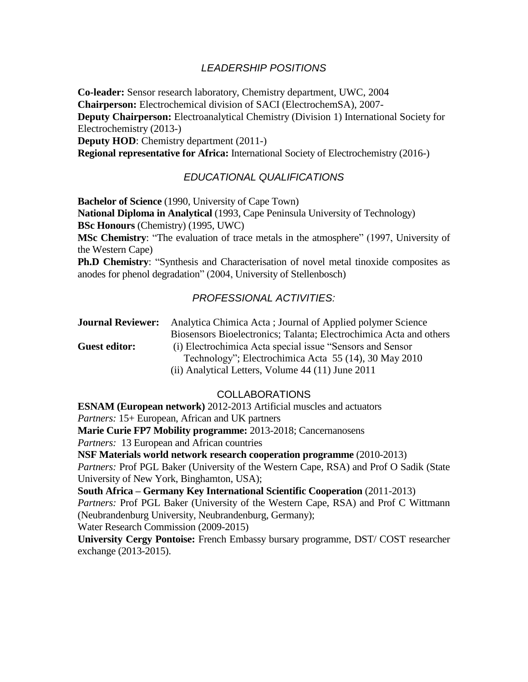## *LEADERSHIP POSITIONS*

**Co-leader:** Sensor research laboratory, Chemistry department, UWC, 2004 **Chairperson:** Electrochemical division of SACI (ElectrochemSA), 2007- **Deputy Chairperson:** Electroanalytical Chemistry (Division 1) International Society for Electrochemistry (2013-)

**Deputy HOD:** Chemistry department (2011-)

**Regional representative for Africa:** International Society of Electrochemistry (2016-)

## *EDUCATIONAL QUALIFICATIONS*

**Bachelor of Science** (1990, University of Cape Town) **National Diploma in Analytical** (1993, Cape Peninsula University of Technology) **BSc Honours** (Chemistry) (1995, UWC)

**MSc Chemistry**: "The evaluation of trace metals in the atmosphere" (1997, University of the Western Cape)

**Ph.D Chemistry:** "Synthesis and Characterisation of novel metal tinoxide composites as anodes for phenol degradation" (2004, University of Stellenbosch)

### *PROFESSIONAL ACTIVITIES:*

| <b>Journal Reviewer:</b> | Analytica Chimica Acta; Journal of Applied polymer Science         |
|--------------------------|--------------------------------------------------------------------|
|                          | Biosensors Bioelectronics; Talanta; Electrochimica Acta and others |
| <b>Guest editor:</b>     | (i) Electrochimica Acta special issue "Sensors and Sensor          |
|                          | Technology"; Electrochimica Acta 55 (14), 30 May 2010              |
|                          | (ii) Analytical Letters, Volume 44 (11) June 2011                  |

### COLLABORATIONS

**ESNAM (European network)** 2012-2013 Artificial muscles and actuators *Partners:* 15+ European, African and UK partners **Marie Curie FP7 Mobility programme:** 2013-2018; Cancernanosens *Partners:* 13 European and African countries **NSF Materials world network research cooperation programme** (2010-2013) *Partners:* Prof PGL Baker (University of the Western Cape, RSA) and Prof O Sadik (State University of New York, Binghamton, USA); **South Africa – Germany Key International Scientific Cooperation** (2011-2013) *Partners:* Prof PGL Baker (University of the Western Cape, RSA) and Prof C Wittmann (Neubrandenburg University, Neubrandenburg, Germany); Water Research Commission (2009-2015) **University Cergy Pontoise:** French Embassy bursary programme, DST/ COST researcher exchange (2013-2015).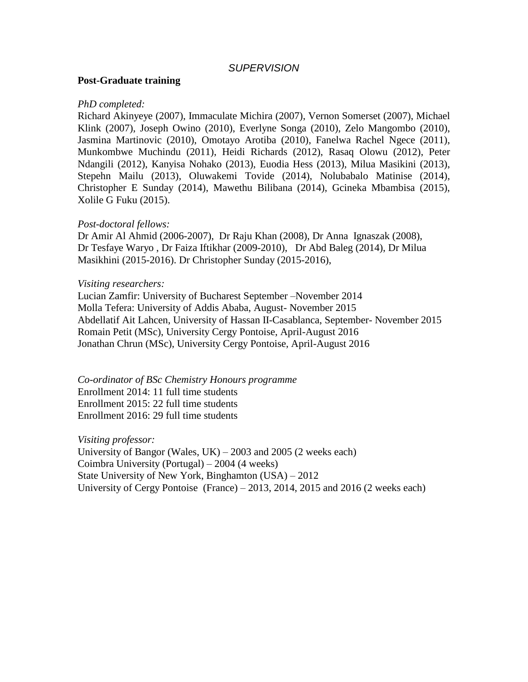### *SUPERVISION*

#### **Post-Graduate training**

#### *PhD completed:*

Richard Akinyeye (2007), Immaculate Michira (2007), Vernon Somerset (2007), Michael Klink (2007), Joseph Owino (2010), Everlyne Songa (2010), Zelo Mangombo (2010), Jasmina Martinovic (2010), Omotayo Arotiba (2010), Fanelwa Rachel Ngece (2011), Munkombwe Muchindu (2011), Heidi Richards (2012), Rasaq Olowu (2012), Peter Ndangili (2012), Kanyisa Nohako (2013), Euodia Hess (2013), Milua Masikini (2013), Stepehn Mailu (2013), Oluwakemi Tovide (2014), Nolubabalo Matinise (2014), Christopher E Sunday (2014), Mawethu Bilibana (2014), Gcineka Mbambisa (2015), Xolile G Fuku (2015).

#### *Post-doctoral fellows:*

Dr Amir Al Ahmid (2006-2007), Dr Raju Khan (2008), Dr Anna Ignaszak (2008), Dr Tesfaye Waryo , Dr Faiza Iftikhar (2009-2010), Dr Abd Baleg (2014), Dr Milua Masikhini (2015-2016). Dr Christopher Sunday (2015-2016),

#### *Visiting researchers:*

Lucian Zamfir: University of Bucharest September –November 2014 Molla Tefera: University of Addis Ababa, August- November 2015 Abdellatif Ait Lahcen, University of Hassan II-Casablanca, September- November 2015 Romain Petit (MSc), University Cergy Pontoise, April-August 2016 Jonathan Chrun (MSc), University Cergy Pontoise, April-August 2016

*Co-ordinator of BSc Chemistry Honours programme* Enrollment 2014: 11 full time students Enrollment 2015: 22 full time students Enrollment 2016: 29 full time students

*Visiting professor:* University of Bangor (Wales, UK) – 2003 and 2005 (2 weeks each) Coimbra University (Portugal) – 2004 (4 weeks) State University of New York, Binghamton (USA) – 2012 University of Cergy Pontoise (France) – 2013, 2014, 2015 and 2016 (2 weeks each)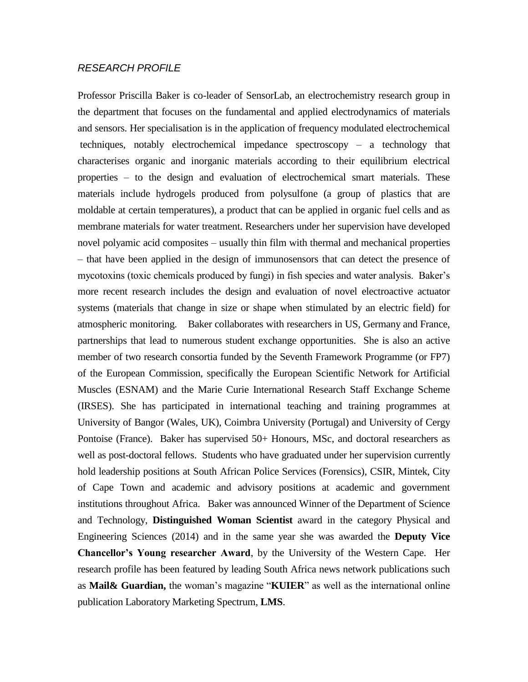#### *RESEARCH PROFILE*

Professor Priscilla Baker is co-leader of SensorLab, an electrochemistry research group in the department that focuses on the fundamental and applied electrodynamics of materials and sensors. Her specialisation is in the application of frequency modulated electrochemical techniques, notably electrochemical impedance spectroscopy – a technology that characterises organic and inorganic materials according to their equilibrium electrical properties – to the design and evaluation of electrochemical smart materials. These materials include hydrogels produced from polysulfone (a group of plastics that are moldable at certain temperatures), a product that can be applied in organic fuel cells and as membrane materials for water treatment. Researchers under her supervision have developed novel polyamic acid composites – usually thin film with thermal and mechanical properties – that have been applied in the design of immunosensors that can detect the presence of mycotoxins (toxic chemicals produced by fungi) in fish species and water analysis. Baker's more recent research includes the design and evaluation of novel electroactive actuator systems (materials that change in size or shape when stimulated by an electric field) for atmospheric monitoring. Baker collaborates with researchers in US, Germany and France, partnerships that lead to numerous student exchange opportunities. She is also an active member of two research consortia funded by the Seventh Framework Programme (or FP7) of the European Commission, specifically the European Scientific Network for Artificial Muscles (ESNAM) and the Marie Curie International Research Staff Exchange Scheme (IRSES). She has participated in international teaching and training programmes at University of Bangor (Wales, UK), Coimbra University (Portugal) and University of Cergy Pontoise (France). Baker has supervised 50+ Honours, MSc, and doctoral researchers as well as post-doctoral fellows. Students who have graduated under her supervision currently hold leadership positions at South African Police Services (Forensics), CSIR, Mintek, City of Cape Town and academic and advisory positions at academic and government institutions throughout Africa. Baker was announced Winner of the Department of Science and Technology, **Distinguished Woman Scientist** award in the category Physical and Engineering Sciences (2014) and in the same year she was awarded the **Deputy Vice Chancellor's Young researcher Award**, by the University of the Western Cape. Her research profile has been featured by leading South Africa news network publications such as **Mail& Guardian,** the woman's magazine "**KUIER**" as well as the international online publication Laboratory Marketing Spectrum, **LMS**.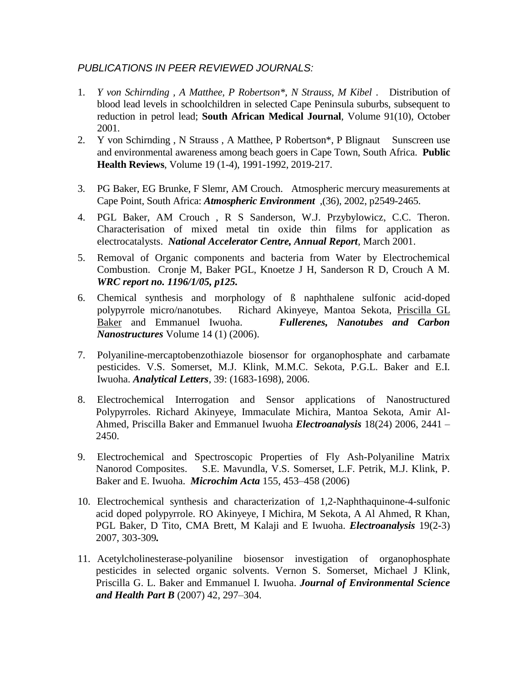## *PUBLICATIONS IN PEER REVIEWED JOURNALS:*

- 1. *Y von Schirnding , A Matthee, P Robertson\*, N Strauss, M Kibel* . Distribution of blood lead levels in schoolchildren in selected Cape Peninsula suburbs, subsequent to reduction in petrol lead; **South African Medical Journal**, Volume 91(10), October 2001.
- 2. Y von Schirnding , N Strauss , A Matthee, P Robertson\*, P Blignaut Sunscreen use and environmental awareness among beach goers in Cape Town, South Africa. **Public Health Reviews**, Volume 19 (1-4), 1991-1992, 2019-217.
- 3. PG Baker, EG Brunke, F Slemr, AM Crouch. Atmospheric mercury measurements at Cape Point, South Africa: *Atmospheric Environment* ,(36), 2002, p2549-2465.
- 4. PGL Baker, AM Crouch , R S Sanderson, W.J. Przybylowicz, C.C. Theron. Characterisation of mixed metal tin oxide thin films for application as electrocatalysts. *National Accelerator Centre, Annual Report*, March 2001.
- 5. Removal of Organic components and bacteria from Water by Electrochemical Combustion. Cronje M, Baker PGL, Knoetze J H, Sanderson R D, Crouch A M. *WRC report no. 1196/1/05, p125.*
- 6. Chemical synthesis and morphology of ß naphthalene sulfonic acid-doped polypyrrole micro/nanotubes. Richard Akinyeye, Mantoa Sekota, Priscilla GL Baker and Emmanuel Iwuoha. *Fullerenes, Nanotubes and Carbon Nanostructures* Volume 14 (1) (2006).
- 7. Polyaniline-mercaptobenzothiazole biosensor for organophosphate and carbamate pesticides. V.S. Somerset, M.J. Klink, M.M.C. Sekota, P.G.L. Baker and E.I. Iwuoha. *Analytical Letters*, 39: (1683-1698), 2006.
- 8. Electrochemical Interrogation and Sensor applications of Nanostructured Polypyrroles. Richard Akinyeye, Immaculate Michira, Mantoa Sekota, Amir Al-Ahmed, Priscilla Baker and Emmanuel Iwuoha *Electroanalysis* 18(24) 2006, 2441 – 2450.
- 9. Electrochemical and Spectroscopic Properties of Fly Ash-Polyaniline Matrix Nanorod Composites. S.E. Mavundla, V.S. Somerset, L.F. Petrik, M.J. Klink, P. Baker and E. Iwuoha. *Microchim Acta* 155, 453–458 (2006)
- 10. Electrochemical synthesis and characterization of 1,2-Naphthaquinone-4-sulfonic acid doped polypyrrole. RO Akinyeye, I Michira, M Sekota, A Al Ahmed, R Khan, PGL Baker, D Tito, CMA Brett, M Kalaji and E Iwuoha. *Electroanalysis* 19(2-3) 2007, 303-309*.*
- 11. Acetylcholinesterase-polyaniline biosensor investigation of organophosphate pesticides in selected organic solvents. Vernon S. Somerset, Michael J Klink, Priscilla G. L. Baker and Emmanuel I. Iwuoha. *Journal of Environmental Science and Health Part B* (2007) 42, 297–304.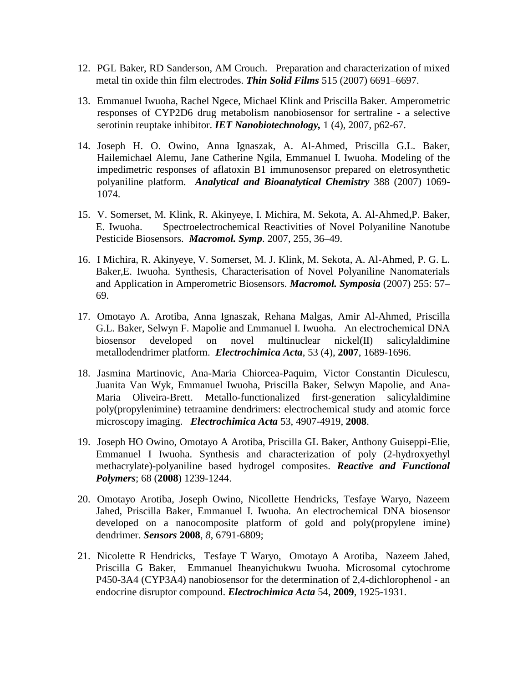- 12. PGL Baker, RD Sanderson, AM Crouch. Preparation and characterization of mixed metal tin oxide thin film electrodes. *Thin Solid Films* 515 (2007) 6691–6697.
- 13. Emmanuel Iwuoha, Rachel Ngece, Michael Klink and Priscilla Baker. Amperometric responses of CYP2D6 drug metabolism nanobiosensor for sertraline - a selective serotinin reuptake inhibitor. *IET Nanobiotechnology,* 1 (4), 2007, p62-67.
- 14. Joseph H. O. Owino, Anna Ignaszak, A. Al-Ahmed, Priscilla G.L. Baker, Hailemichael Alemu, Jane Catherine Ngila, Emmanuel I. Iwuoha. Modeling of the impedimetric responses of aflatoxin B1 immunosensor prepared on eletrosynthetic polyaniline platform. *Analytical and Bioanalytical Chemistry* 388 (2007) 1069- 1074.
- 15. V. Somerset, M. Klink, R. Akinyeye, I. Michira, M. Sekota, A. Al-Ahmed,P. Baker, E. Iwuoha. Spectroelectrochemical Reactivities of Novel Polyaniline Nanotube Pesticide Biosensors. *Macromol. Symp*. 2007, 255, 36–49.
- 16. I Michira, R. Akinyeye, V. Somerset, M. J. Klink, M. Sekota, A. Al-Ahmed, P. G. L. Baker,E. Iwuoha. Synthesis, Characterisation of Novel Polyaniline Nanomaterials and Application in Amperometric Biosensors. *Macromol. Symposia* (2007) 255: 57– 69.
- 17. Omotayo A. Arotiba, Anna Ignaszak, Rehana Malgas, Amir Al-Ahmed, Priscilla G.L. Baker, Selwyn F. Mapolie and Emmanuel I. Iwuoha. An electrochemical DNA biosensor developed on novel multinuclear nickel(II) salicylaldimine metallodendrimer platform. *Electrochimica Acta*, 53 (4), **2007**, 1689-1696.
- 18. Jasmina Martinovic, Ana-Maria Chiorcea-Paquim, Victor Constantin Diculescu, Juanita Van Wyk, Emmanuel Iwuoha, Priscilla Baker, Selwyn Mapolie, and Ana-Maria Oliveira-Brett. Metallo-functionalized first-generation salicylaldimine poly(propylenimine) tetraamine dendrimers: electrochemical study and atomic force microscopy imaging. *Electrochimica Acta* 53, 4907-4919, **2008**.
- 19. Joseph HO Owino, Omotayo A Arotiba, Priscilla GL Baker, Anthony Guiseppi-Elie, Emmanuel I Iwuoha. Synthesis and characterization of poly (2-hydroxyethyl methacrylate)-polyaniline based hydrogel composites. *Reactive and Functional Polymers*; 68 (**2008**) 1239-1244.
- 20. Omotayo Arotiba, Joseph Owino, Nicollette Hendricks, Tesfaye Waryo, Nazeem Jahed, Priscilla Baker, Emmanuel I. Iwuoha. An electrochemical DNA biosensor developed on a nanocomposite platform of gold and poly(propylene imine) dendrimer. *Sensors* **2008**, *8*, 6791-6809;
- 21. Nicolette R Hendricks, Tesfaye T Waryo, Omotayo A Arotiba, Nazeem Jahed, Priscilla G Baker, Emmanuel Iheanyichukwu Iwuoha. Microsomal cytochrome P450-3A4 (CYP3A4) nanobiosensor for the determination of 2,4-dichlorophenol - an endocrine disruptor compound. *Electrochimica Acta* 54, **2009**, 1925-1931.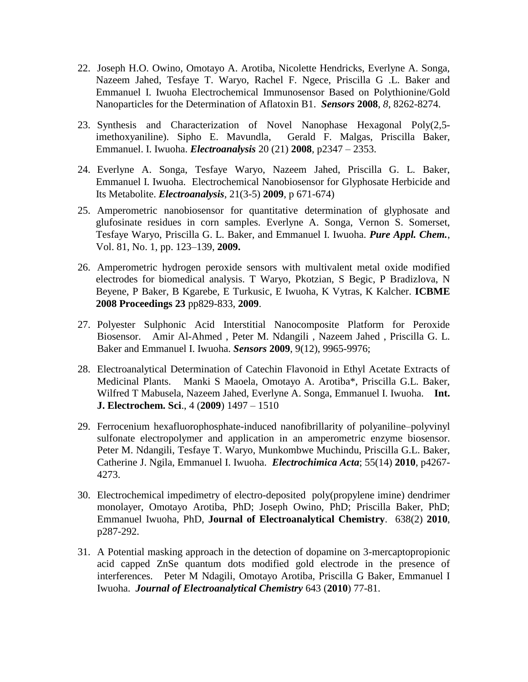- 22. Joseph H.O. Owino, Omotayo A. Arotiba, Nicolette Hendricks, Everlyne A. Songa, Nazeem Jahed, Tesfaye T. Waryo, Rachel F. Ngece, Priscilla G .L. Baker and Emmanuel I. Iwuoha Electrochemical Immunosensor Based on Polythionine/Gold Nanoparticles for the Determination of Aflatoxin B1. *Sensors* **2008**, *8*, 8262-8274.
- 23. Synthesis and Characterization of Novel Nanophase Hexagonal Poly(2,5 imethoxyaniline). Sipho E. Mavundla, Gerald F. Malgas, Priscilla Baker, Emmanuel. I. Iwuoha. *Electroanalysis* 20 (21) **2008**, p2347 – 2353.
- 24. Everlyne A. Songa, Tesfaye Waryo, Nazeem Jahed, Priscilla G. L. Baker, Emmanuel I. Iwuoha. Electrochemical Nanobiosensor for Glyphosate Herbicide and Its Metabolite. *Electroanalysis*, 21(3-5) **2009**, p 671-674)
- 25. Amperometric nanobiosensor for quantitative determination of glyphosate and glufosinate residues in corn samples. Everlyne A. Songa, Vernon S. Somerset, Tesfaye Waryo, Priscilla G. L. Baker, and Emmanuel I. Iwuoha. *Pure Appl. Chem.*, Vol. 81, No. 1, pp. 123–139, **2009.**
- 26. Amperometric hydrogen peroxide sensors with multivalent metal oxide modified electrodes for biomedical analysis. T Waryo, Pkotzian, S Begic, P Bradizlova, N Beyene, P Baker, B Kgarebe, E Turkusic, E Iwuoha, K Vytras, K Kalcher. **ICBME 2008 Proceedings 23** pp829-833, **2009**.
- 27. Polyester Sulphonic Acid Interstitial Nanocomposite Platform for Peroxide Biosensor. Amir Al-Ahmed , Peter M. Ndangili , Nazeem Jahed , Priscilla G. L. Baker and Emmanuel I. Iwuoha. *Sensors* **2009**, 9(12), 9965-9976;
- 28. Electroanalytical Determination of Catechin Flavonoid in Ethyl Acetate Extracts of Medicinal Plants. Manki S Maoela, Omotayo A. Arotiba\*, Priscilla G.L. Baker, Wilfred T Mabusela, Nazeem Jahed, Everlyne A. Songa, Emmanuel I. Iwuoha. **Int. J. Electrochem. Sci**., 4 (**2009**) 1497 – 1510
- 29. Ferrocenium hexafluorophosphate-induced nanofibrillarity of polyaniline–polyvinyl sulfonate electropolymer and application in an amperometric enzyme biosensor. Peter M. Ndangili, Tesfaye T. Waryo, Munkombwe Muchindu, Priscilla G.L. Baker, Catherine J. Ngila, Emmanuel I. Iwuoha. *Electrochimica Acta*; 55(14) **2010**, p4267- 4273.
- 30. Electrochemical impedimetry of electro-deposited poly(propylene imine) dendrimer monolayer, Omotayo Arotiba, PhD; Joseph Owino, PhD; Priscilla Baker, PhD; Emmanuel Iwuoha, PhD, **Journal of Electroanalytical Chemistry**. 638(2) **2010**, p287-292.
- 31. A Potential masking approach in the detection of dopamine on 3-mercaptopropionic acid capped ZnSe quantum dots modified gold electrode in the presence of interferences. Peter M Ndagili, Omotayo Arotiba, Priscilla G Baker, Emmanuel I Iwuoha. *Journal of Electroanalytical Chemistry* 643 (**2010**) 77-81.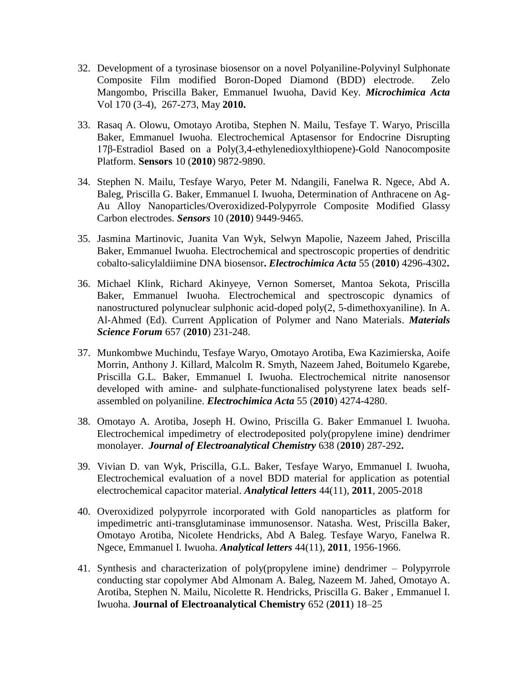- 32. Development of a tyrosinase biosensor on a novel Polyaniline-Polyvinyl Sulphonate Composite Film modified Boron-Doped Diamond (BDD) electrode. Zelo Mangombo, Priscilla Baker, Emmanuel Iwuoha, David Key. *Microchimica Acta* Vol 170 (3-4), 267-273, May **2010.**
- 33. Rasaq A. Olowu, Omotayo Arotiba, Stephen N. Mailu, Tesfaye T. Waryo, Priscilla Baker, Emmanuel Iwuoha. Electrochemical Aptasensor for Endocrine Disrupting 17β-Estradiol Based on a Poly(3,4-ethylenedioxylthiopene)-Gold Nanocomposite Platform. **Sensors** 10 (**2010**) 9872-9890.
- 34. Stephen N. Mailu, Tesfaye Waryo, Peter M. Ndangili, Fanelwa R. Ngece, Abd A. Baleg, Priscilla G. Baker, Emmanuel I. Iwuoha, Determination of Anthracene on Ag-Au Alloy Nanoparticles/Overoxidized-Polypyrrole Composite Modified Glassy Carbon electrodes. *Sensors* 10 (**2010**) 9449-9465.
- 35. Jasmina Martinovic, Juanita Van Wyk, Selwyn Mapolie, Nazeem Jahed, Priscilla Baker, Emmanuel Iwuoha. Electrochemical and spectroscopic properties of dendritic cobalto-salicylaldiimine DNA biosensor**.** *Electrochimica Acta* 55 (**2010**) 4296-4302**.**
- 36. Michael Klink, Richard Akinyeye, Vernon Somerset, Mantoa Sekota, Priscilla Baker, Emmanuel Iwuoha. Electrochemical and spectroscopic dynamics of nanostructured polynuclear sulphonic acid-doped poly(2, 5-dimethoxyaniline). In A. Al-Ahmed (Ed). Current Application of Polymer and Nano Materials. *Materials Science Forum* 657 (**2010**) 231-248.
- 37. Munkombwe Muchindu, Tesfaye Waryo, Omotayo Arotiba, Ewa Kazimierska, Aoife Morrin, Anthony J. Killard, Malcolm R. Smyth, Nazeem Jahed, Boitumelo Kgarebe, Priscilla G.L. Baker, Emmanuel I. Iwuoha. Electrochemical nitrite nanosensor developed with amine- and sulphate-functionalised polystyrene latex beads selfassembled on polyaniline. *Electrochimica Acta* 55 (**2010**) 4274-4280.
- 38. Omotayo A. Arotiba, Joseph H. Owino, Priscilla G. Baker, Emmanuel I. Iwuoha. Electrochemical impedimetry of electrodeposited poly(propylene imine) dendrimer monolayer. *Journal of Electroanalytical Chemistry* 638 (**2010**) 287-292**.**
- 39. Vivian D. van Wyk, Priscilla, G.L. Baker, Tesfaye Waryo, Emmanuel I. Iwuoha, Electrochemical evaluation of a novel BDD material for application as potential electrochemical capacitor material. *Analytical letters* 44(11), **2011**, 2005-2018
- 40. Overoxidized polypyrrole incorporated with Gold nanoparticles as platform for impedimetric anti-transglutaminase immunosensor. Natasha. West, Priscilla Baker, Omotayo Arotiba, Nicolete Hendricks, Abd A Baleg. Tesfaye Waryo, Fanelwa R. Ngece, Emmanuel I. Iwuoha. *Analytical letters* 44(11), **2011**, 1956-1966.
- 41. Synthesis and characterization of poly(propylene imine) dendrimer Polypyrrole conducting star copolymer Abd Almonam A. Baleg, Nazeem M. Jahed, Omotayo A. Arotiba, Stephen N. Mailu, Nicolette R. Hendricks, Priscilla G. Baker , Emmanuel I. Iwuoha. **Journal of Electroanalytical Chemistry** 652 (**2011**) 18–25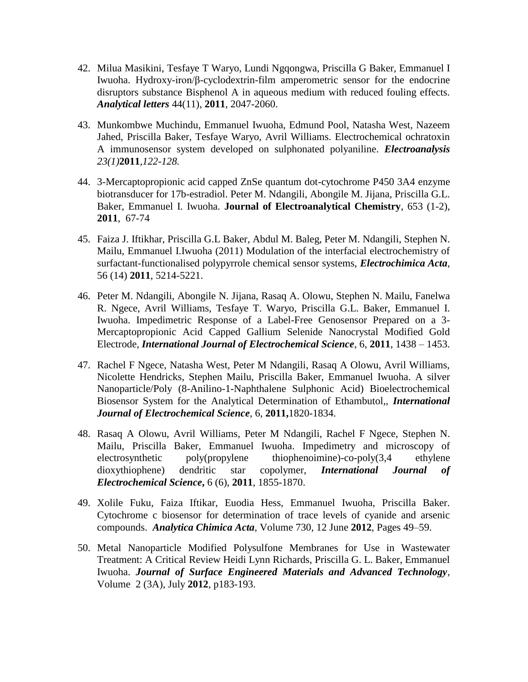- 42. Milua Masikini, Tesfaye T Waryo, Lundi Ngqongwa, Priscilla G Baker, Emmanuel I Iwuoha. Hydroxy-iron/β-cyclodextrin-film amperometric sensor for the endocrine disruptors substance Bisphenol A in aqueous medium with reduced fouling effects. *Analytical letters* 44(11), **2011**, 2047-2060.
- 43. Munkombwe Muchindu, Emmanuel Iwuoha, Edmund Pool, Natasha West, Nazeem Jahed, Priscilla Baker, Tesfaye Waryo, Avril Williams. Electrochemical ochratoxin A immunosensor system developed on sulphonated polyaniline. *Electroanalysis 23(1)***2011***,122-128.*
- 44. 3-Mercaptopropionic acid capped ZnSe quantum dot-cytochrome P450 3A4 enzyme biotransducer for 17b-estradiol. Peter M. Ndangili, Abongile M. Jijana, Priscilla G.L. Baker, Emmanuel I. Iwuoha. **Journal of Electroanalytical Chemistry**, 653 (1-2), **2011**, 67-74
- 45. Faiza J. Iftikhar, Priscilla G.L Baker, Abdul M. Baleg, Peter M. Ndangili, Stephen N. Mailu, Emmanuel I.Iwuoha (2011) Modulation of the interfacial electrochemistry of surfactant-functionalised polypyrrole chemical sensor systems, *Electrochimica Acta*, 56 (14) **2011**, 5214-5221.
- 46. Peter M. Ndangili, Abongile N. Jijana, Rasaq A. Olowu, Stephen N. Mailu, Fanelwa R. Ngece, Avril Williams, Tesfaye T. Waryo, Priscilla G.L. Baker, Emmanuel I. Iwuoha. Impedimetric Response of a Label-Free Genosensor Prepared on a 3- Mercaptopropionic Acid Capped Gallium Selenide Nanocrystal Modified Gold Electrode, *International Journal of Electrochemical Science*, 6, **2011**, 1438 – 1453.
- 47. Rachel F Ngece, Natasha West, Peter M Ndangili, Rasaq A Olowu, Avril Williams, Nicolette Hendricks, Stephen Mailu, Priscilla Baker, Emmanuel Iwuoha. A silver Nanoparticle/Poly (8-Anilino-1-Naphthalene Sulphonic Acid) Bioelectrochemical Biosensor System for the Analytical Determination of Ethambutol,, *International Journal of Electrochemical Science*, 6, **2011,**1820-1834.
- 48. Rasaq A Olowu, Avril Williams, Peter M Ndangili, Rachel F Ngece, Stephen N. Mailu, Priscilla Baker, Emmanuel Iwuoha. Impedimetry and microscopy of electrosynthetic poly(propylene thiophenoimine)-co-poly(3,4 ethylene dioxythiophene) dendritic star copolymer, *International Journal of Electrochemical Science***,** 6 (6), **2011**, 1855-1870.
- 49. Xolile Fuku, Faiza Iftikar, Euodia Hess, Emmanuel Iwuoha, Priscilla Baker. Cytochrome c biosensor for determination of trace levels of cyanide and arsenic compounds. *Analytica Chimica Acta*, Volume 730, 12 June **2012**, Pages 49–59.
- 50. Metal Nanoparticle Modified Polysulfone Membranes for Use in Wastewater Treatment: A Critical Review Heidi Lynn Richards, Priscilla G. L. Baker, Emmanuel Iwuoha. *Journal of Surface Engineered Materials and Advanced Technology*, Volume 2 (3A), July **2012**, p183-193.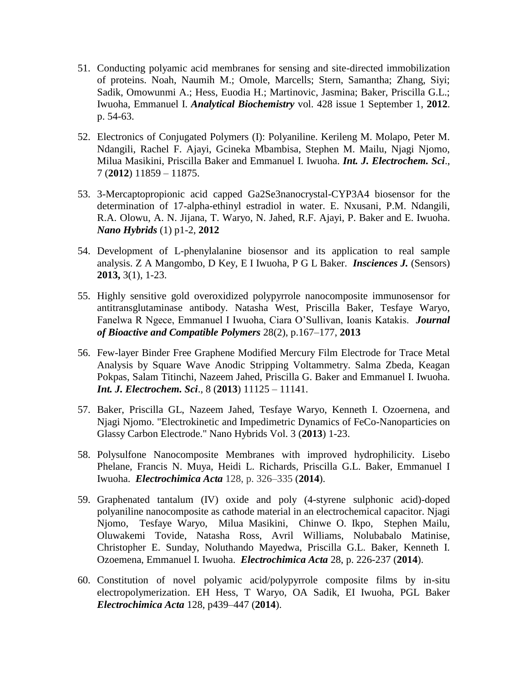- 51. Conducting polyamic acid membranes for sensing and site-directed immobilization of proteins. Noah, Naumih M.; Omole, Marcells; Stern, Samantha; Zhang, Siyi; Sadik, Omowunmi A.; Hess, Euodia H.; Martinovic, Jasmina; Baker, Priscilla G.L.; Iwuoha, Emmanuel I. *Analytical Biochemistry* vol. 428 issue 1 September 1, **2012**. p. 54-63.
- 52. Electronics of Conjugated Polymers (I): Polyaniline. Kerileng M. Molapo, Peter M. Ndangili, Rachel F. Ajayi, Gcineka Mbambisa, Stephen M. Mailu, Njagi Njomo, Milua Masikini, Priscilla Baker and Emmanuel I. Iwuoha. *Int. J. Electrochem. Sci*., 7 (**2012**) 11859 – 11875.
- 53. 3-Mercaptopropionic acid capped Ga2Se3nanocrystal-CYP3A4 biosensor for the determination of 17-alpha-ethinyl estradiol in water. E. Nxusani, P.M. Ndangili, R.A. Olowu, A. N. Jijana, T. Waryo, N. Jahed, R.F. Ajayi, P. Baker and E. Iwuoha. *Nano Hybrids* (1) p1-2, **2012**
- 54. Development of L-phenylalanine biosensor and its application to real sample analysis. Z A Mangombo, D Key, E I Iwuoha, P G L Baker. *Insciences J.* (Sensors) **2013,** 3(1), 1-23.
- 55. Highly sensitive gold overoxidized polypyrrole nanocomposite immunosensor for antitransglutaminase antibody. Natasha West, Priscilla Baker, Tesfaye Waryo, Fanelwa R Ngece, Emmanuel I Iwuoha, Ciara O'Sullivan, Ioanis Katakis. *Journal of Bioactive and Compatible Polymers* 28(2), p.167–177, **2013**
- 56. Few-layer Binder Free Graphene Modified Mercury Film Electrode for Trace Metal Analysis by Square Wave Anodic Stripping Voltammetry. Salma Zbeda, Keagan Pokpas, Salam Titinchi, Nazeem Jahed, Priscilla G. Baker and Emmanuel I. Iwuoha. *Int. J. Electrochem. Sci*., 8 (**2013**) 11125 – 11141.
- 57. Baker, Priscilla GL, Nazeem Jahed, Tesfaye Waryo, Kenneth I. Ozoernena, and Njagi Njomo. "Electrokinetic and Impedimetric Dynamics of FeCo-Nanoparticies on Glassy Carbon Electrode." Nano Hybrids Vol. 3 (**2013**) 1-23.
- 58. Polysulfone Nanocomposite Membranes with improved hydrophilicity. Lisebo Phelane, Francis N. Muya, Heidi L. Richards, Priscilla G.L. Baker, Emmanuel I Iwuoha. *Electrochimica Acta* 128, p. 326–335 (**2014**).
- 59. Graphenated tantalum (IV) oxide and poly (4-styrene sulphonic acid)-doped polyaniline nanocomposite as cathode material in an electrochemical capacitor. Njagi Njomo, Tesfaye Waryo, Milua Masikini, Chinwe O. Ikpo, Stephen Mailu, Oluwakemi Tovide, Natasha Ross, Avril Williams, Nolubabalo Matinise, Christopher E. Sunday, Noluthando Mayedwa, Priscilla G.L. Baker, Kenneth I. Ozoemena, Emmanuel I. Iwuoha. *Electrochimica Acta* 28, p. 226-237 (**2014**).
- 60. Constitution of novel polyamic acid/polypyrrole composite films by in-situ electropolymerization. EH Hess, T Waryo, OA Sadik, EI Iwuoha, PGL Baker *Electrochimica Acta* 128, p439–447 (**2014**).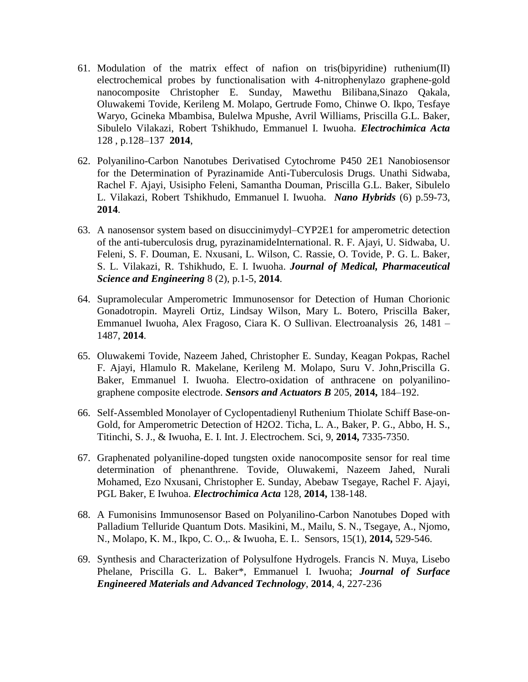- 61. Modulation of the matrix effect of nafion on tris(bipyridine) ruthenium(II) electrochemical probes by functionalisation with 4-nitrophenylazo graphene-gold nanocomposite Christopher E. Sunday, Mawethu Bilibana,Sinazo Qakala, Oluwakemi Tovide, Kerileng M. Molapo, Gertrude Fomo, Chinwe O. Ikpo, Tesfaye Waryo, Gcineka Mbambisa, Bulelwa Mpushe, Avril Williams, Priscilla G.L. Baker, Sibulelo Vilakazi, Robert Tshikhudo, Emmanuel I. Iwuoha. *Electrochimica Acta* 128 , p.128–137 **2014**,
- 62. Polyanilino-Carbon Nanotubes Derivatised Cytochrome P450 2E1 Nanobiosensor for the Determination of Pyrazinamide Anti-Tuberculosis Drugs. Unathi Sidwaba, Rachel F. Ajayi, Usisipho Feleni, Samantha Douman, Priscilla G.L. Baker, Sibulelo L. Vilakazi, Robert Tshikhudo, Emmanuel I. Iwuoha. *Nano Hybrids* (6) p.59-73, **2014**.
- 63. A nanosensor system based on disuccinimydyl–CYP2E1 for amperometric detection of the anti-tuberculosis drug, pyrazinamideInternational. R. F. Ajayi, U. Sidwaba, U. Feleni, S. F. Douman, E. Nxusani, L. Wilson, C. Rassie, O. Tovide, P. G. L. Baker, S. L. Vilakazi, R. Tshikhudo, E. I. Iwuoha. *Journal of Medical, Pharmaceutical Science and Engineering* 8 (2), p.1-5, **2014**.
- 64. Supramolecular Amperometric Immunosensor for Detection of Human Chorionic Gonadotropin. Mayreli Ortiz, Lindsay Wilson, Mary L. Botero, Priscilla Baker, Emmanuel Iwuoha, Alex Fragoso, Ciara K. O Sullivan. Electroanalysis 26, 1481 – 1487, **2014**.
- 65. Oluwakemi Tovide, Nazeem Jahed, Christopher E. Sunday, Keagan Pokpas, Rachel F. Ajayi, Hlamulo R. Makelane, Kerileng M. Molapo, Suru V. John,Priscilla G. Baker, Emmanuel I. Iwuoha. Electro-oxidation of anthracene on polyanilinographene composite electrode. *Sensors and Actuators B* 205, **2014,** 184–192.
- 66. Self-Assembled Monolayer of Cyclopentadienyl Ruthenium Thiolate Schiff Base-on-Gold, for Amperometric Detection of H2O2. Ticha, L. A., Baker, P. G., Abbo, H. S., Titinchi, S. J., & Iwuoha, E. I. Int. J. Electrochem. Sci, 9, **2014,** 7335-7350.
- 67. Graphenated polyaniline-doped tungsten oxide nanocomposite sensor for real time determination of phenanthrene. Tovide, Oluwakemi, Nazeem Jahed, Nurali Mohamed, Ezo Nxusani, Christopher E. Sunday, Abebaw Tsegaye, Rachel F. Ajayi, PGL Baker, E Iwuhoa. *Electrochimica Acta* 128, **2014,** 138-148.
- 68. A Fumonisins Immunosensor Based on Polyanilino-Carbon Nanotubes Doped with Palladium Telluride Quantum Dots. Masikini, M., Mailu, S. N., Tsegaye, A., Njomo, N., Molapo, K. M., Ikpo, C. O.,. & Iwuoha, E. I.. Sensors, 15(1), **2014,** 529-546.
- 69. Synthesis and Characterization of Polysulfone Hydrogels. Francis N. Muya, Lisebo Phelane, Priscilla G. L. Baker\*, Emmanuel I. Iwuoha; *Journal of Surface Engineered Materials and Advanced Technology*, **2014**, 4, 227-236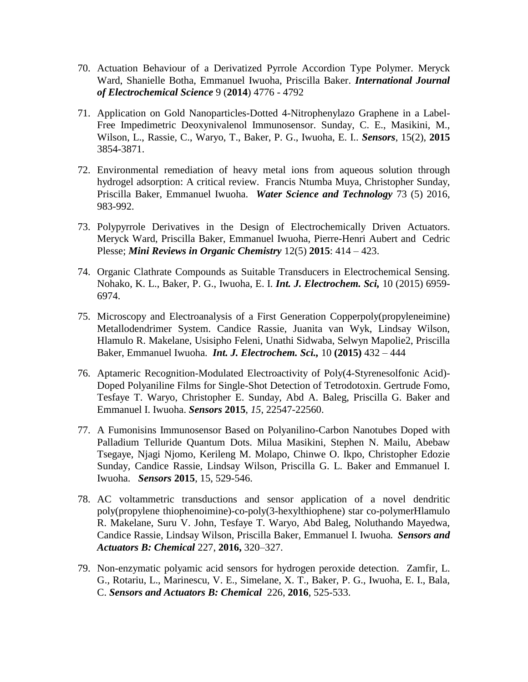- 70. Actuation Behaviour of a Derivatized Pyrrole Accordion Type Polymer. Meryck Ward, Shanielle Botha, Emmanuel Iwuoha, Priscilla Baker. *International Journal of Electrochemical Science* 9 (**2014**) 4776 - 4792
- 71. Application on Gold Nanoparticles-Dotted 4-Nitrophenylazo Graphene in a Label-Free Impedimetric Deoxynivalenol Immunosensor. Sunday, C. E., Masikini, M., Wilson, L., Rassie, C., Waryo, T., Baker, P. G., Iwuoha, E. I.. *Sensors*, 15(2), **2015** 3854-3871.
- 72. Environmental remediation of heavy metal ions from aqueous solution through hydrogel adsorption: A critical review. Francis Ntumba Muya, Christopher Sunday, Priscilla Baker, Emmanuel Iwuoha. *Water Science and Technology* 73 (5) 2016, 983-992.
- 73. Polypyrrole Derivatives in the Design of Electrochemically Driven Actuators. Meryck Ward, Priscilla Baker, Emmanuel Iwuoha, Pierre-Henri Aubert and Cedric Plesse; *Mini Reviews in Organic Chemistry* 12(5) **2015**: 414 – 423.
- 74. Organic Clathrate Compounds as Suitable Transducers in Electrochemical Sensing. Nohako, K. L., Baker, P. G., Iwuoha, E. I. *Int. J. Electrochem. Sci,* 10 (2015) 6959- 6974.
- 75. Microscopy and Electroanalysis of a First Generation Copperpoly(propyleneimine) Metallodendrimer System. Candice Rassie, Juanita van Wyk, Lindsay Wilson, Hlamulo R. Makelane, Usisipho Feleni, Unathi Sidwaba, Selwyn Mapolie2, Priscilla Baker, Emmanuel Iwuoha. *Int. J. Electrochem. Sci.,* 10 **(2015)** 432 – 444
- 76. Aptameric Recognition-Modulated Electroactivity of Poly(4-Styrenesolfonic Acid)- Doped Polyaniline Films for Single-Shot Detection of Tetrodotoxin. Gertrude Fomo, Tesfaye T. Waryo, Christopher E. Sunday, Abd A. Baleg, Priscilla G. Baker and Emmanuel I. Iwuoha. *Sensors* **2015**, *15*, 22547-22560.
- 77. A Fumonisins Immunosensor Based on Polyanilino-Carbon Nanotubes Doped with Palladium Telluride Quantum Dots. Milua Masikini, Stephen N. Mailu, Abebaw Tsegaye, Njagi Njomo, Kerileng M. Molapo, Chinwe O. Ikpo, Christopher Edozie Sunday, Candice Rassie, Lindsay Wilson, Priscilla G. L. Baker and Emmanuel I. Iwuoha. *Sensors* **2015**, 15, 529-546.
- 78. AC voltammetric transductions and sensor application of a novel dendritic poly(propylene thiophenoimine)-co-poly(3-hexylthiophene) star co-polymerHlamulo R. Makelane, Suru V. John, Tesfaye T. Waryo, Abd Baleg, Noluthando Mayedwa, Candice Rassie, Lindsay Wilson, Priscilla Baker, Emmanuel I. Iwuoha. *Sensors and Actuators B: Chemical* 227, **2016,** 320–327.
- 79. Non-enzymatic polyamic acid sensors for hydrogen peroxide detection. Zamfir, L. G., Rotariu, L., Marinescu, V. E., Simelane, X. T., Baker, P. G., Iwuoha, E. I., Bala, C. *Sensors and Actuators B: Chemical* 226, **2016**, 525-533.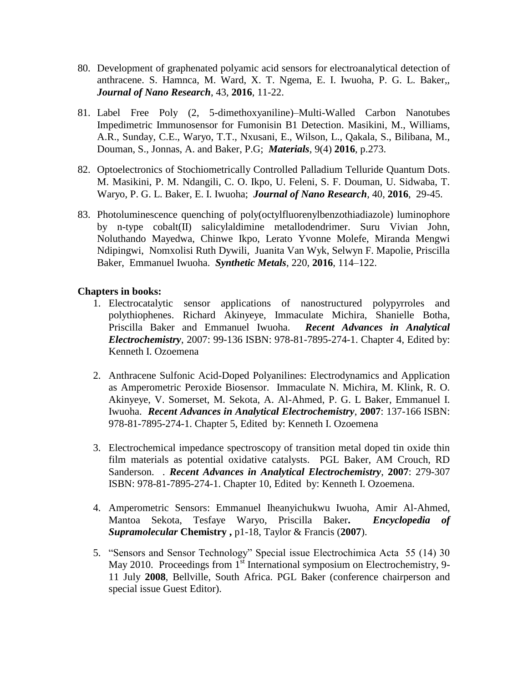- 80. Development of graphenated polyamic acid sensors for electroanalytical detection of anthracene. S. Hamnca, M. Ward, X. T. Ngema, E. I. Iwuoha, P. G. L. Baker,, *Journal of Nano Research*, 43, **2016**, 11-22.
- 81. Label Free Poly (2, 5-dimethoxyaniline)–Multi-Walled Carbon Nanotubes Impedimetric Immunosensor for Fumonisin B1 Detection. Masikini, M., Williams, A.R., Sunday, C.E., Waryo, T.T., Nxusani, E., Wilson, L., Qakala, S., Bilibana, M., Douman, S., Jonnas, A. and Baker, P.G; *Materials*, 9(4) **2016**, p.273.
- 82. Optoelectronics of Stochiometrically Controlled Palladium Telluride Quantum Dots. M. Masikini, P. M. Ndangili, C. O. Ikpo, U. Feleni, S. F. Douman, U. Sidwaba, T. Waryo, P. G. L. Baker, E. I. Iwuoha; *Journal of Nano Research*, 40, **2016**, 29-45.
- 83. Photoluminescence quenching of poly(octylfluorenylbenzothiadiazole) luminophore by n-type cobalt(II) salicylaldimine metallodendrimer. Suru Vivian John, Noluthando Mayedwa, Chinwe Ikpo, Lerato Yvonne Molefe, Miranda Mengwi Ndipingwi, Nomxolisi Ruth Dywili, Juanita Van Wyk, Selwyn F. Mapolie, Priscilla Baker, Emmanuel Iwuoha. *Synthetic Metals*, 220, **2016**, 114–122.

### **Chapters in books:**

- 1. Electrocatalytic sensor applications of nanostructured polypyrroles and polythiophenes. Richard Akinyeye, Immaculate Michira, Shanielle Botha, Priscilla Baker and Emmanuel Iwuoha. *Recent Advances in Analytical Electrochemistry*, 2007: 99-136 ISBN: 978-81-7895-274-1. Chapter 4, Edited by: Kenneth I. Ozoemena
- 2. Anthracene Sulfonic Acid-Doped Polyanilines: Electrodynamics and Application as Amperometric Peroxide Biosensor. Immaculate N. Michira, M. Klink, R. O. Akinyeye, V. Somerset, M. Sekota, A. Al-Ahmed, P. G. L Baker, Emmanuel I. Iwuoha. *Recent Advances in Analytical Electrochemistry*, **2007**: 137-166 ISBN: 978-81-7895-274-1. Chapter 5, Edited by: Kenneth I. Ozoemena
- 3. Electrochemical impedance spectroscopy of transition metal doped tin oxide thin film materials as potential oxidative catalysts. PGL Baker, AM Crouch, RD Sanderson. *. Recent Advances in Analytical Electrochemistry*, **2007**: 279-307 ISBN: 978-81-7895-274-1. Chapter 10, Edited by: Kenneth I. Ozoemena.
- 4. Amperometric Sensors: Emmanuel Iheanyichukwu Iwuoha, Amir Al-Ahmed, Mantoa Sekota, Tesfaye Waryo, Priscilla Baker**.** *Encyclopedia of Supramolecular* **Chemistry ,** p1-18, Taylor & Francis (**2007**).
- 5. "Sensors and Sensor Technology" Special issue Electrochimica Acta 55 (14) 30 May 2010. Proceedings from 1<sup>st</sup> International symposium on Electrochemistry, 9-11 July **2008**, Bellville, South Africa. PGL Baker (conference chairperson and special issue Guest Editor).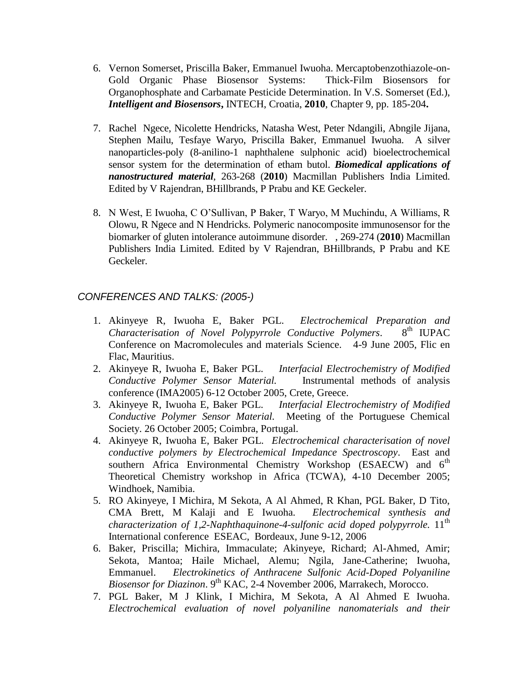- 6. Vernon Somerset, Priscilla Baker, Emmanuel Iwuoha. Mercaptobenzothiazole-on-Gold Organic Phase Biosensor Systems: Thick-Film Biosensors for Organophosphate and Carbamate Pesticide Determination. In V.S. Somerset (Ed.), *Intelligent and Biosensors***,** INTECH, Croatia, **2010**, Chapter 9, pp. 185-204**.**
- 7. Rachel Ngece, Nicolette Hendricks, Natasha West, Peter Ndangili, Abngile Jijana, Stephen Mailu, Tesfaye Waryo, Priscilla Baker, Emmanuel Iwuoha. A silver nanoparticles-poly (8-anilino-1 naphthalene sulphonic acid) bioelectrochemical sensor system for the determination of etham butol. *Biomedical applications of nanostructured material*, 263-268 (**2010**) Macmillan Publishers India Limited. Edited by V Rajendran, BHillbrands, P Prabu and KE Geckeler.
- 8. N West, E Iwuoha, C O'Sullivan, P Baker, T Waryo, M Muchindu, A Williams, R Olowu, R Ngece and N Hendricks. Polymeric nanocomposite immunosensor for the biomarker of gluten intolerance autoimmune disorder. , 269-274 (**2010**) Macmillan Publishers India Limited. Edited by V Rajendran, BHillbrands, P Prabu and KE Geckeler.

## *CONFERENCES AND TALKS: (2005-)*

- 1. Akinyeye R, Iwuoha E, Baker PGL. *Electrochemical Preparation and Characterisation of Novel Polypyrrole Conductive Polymers*. 8th IUPAC Conference on Macromolecules and materials Science. 4-9 June 2005, Flic en Flac, Mauritius.
- 2. Akinyeye R, Iwuoha E, Baker PGL. *Interfacial Electrochemistry of Modified Conductive Polymer Sensor Material.* Instrumental methods of analysis conference (IMA2005) 6-12 October 2005, Crete, Greece.
- 3. Akinyeye R, Iwuoha E, Baker PGL. *Interfacial Electrochemistry of Modified Conductive Polymer Sensor Material.* Meeting of the Portuguese Chemical Society. 26 October 2005; Coimbra, Portugal.
- 4. Akinyeye R, Iwuoha E, Baker PGL. *Electrochemical characterisation of novel conductive polymers by Electrochemical Impedance Spectroscopy*. East and southern Africa Environmental Chemistry Workshop (ESAECW) and 6<sup>th</sup> Theoretical Chemistry workshop in Africa (TCWA), 4-10 December 2005; Windhoek, Namibia.
- 5. RO Akinyeye, I Michira, M Sekota, A Al Ahmed, R Khan, PGL Baker, D Tito, CMA Brett, M Kalaji and E Iwuoha. *Electrochemical synthesis and characterization of 1,2-Naphthaquinone-4-sulfonic acid doped polypyrrole.* 11<sup>th</sup> International conference ESEAC, Bordeaux, June 9-12, 2006
- 6. Baker, Priscilla; Michira, Immaculate; Akinyeye, Richard; Al-Ahmed, Amir; Sekota, Mantoa; Haile Michael, Alemu; Ngila, Jane-Catherine; Iwuoha, Emmanuel. *Electrokinetics of Anthracene Sulfonic Acid-Doped Polyaniline*  Biosensor for Diazinon. 9<sup>th</sup> KAC, 2-4 November 2006, Marrakech, Morocco.
- 7. PGL Baker, M J Klink, I Michira, M Sekota, A Al Ahmed E Iwuoha. *Electrochemical evaluation of novel polyaniline nanomaterials and their*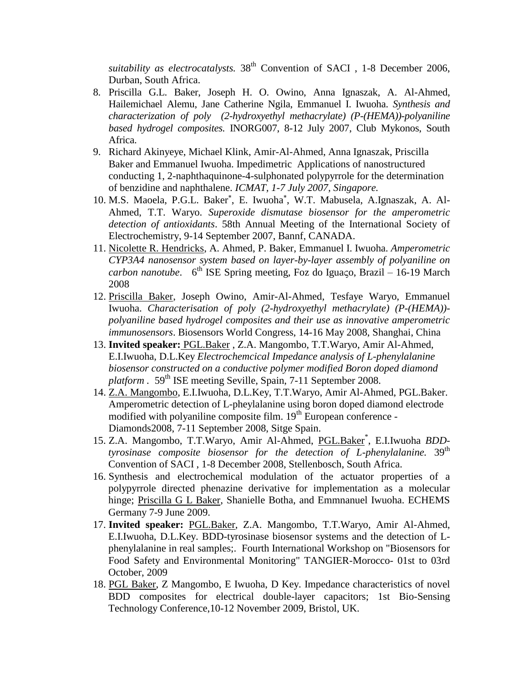suitability as electrocatalysts. 38<sup>th</sup> Convention of SACI, 1-8 December 2006, Durban, South Africa.

- 8. Priscilla G.L. Baker, Joseph H. O. Owino, Anna Ignaszak, A. Al-Ahmed, Hailemichael Alemu, Jane Catherine Ngila, Emmanuel I. Iwuoha. *Synthesis and characterization of poly (2-hydroxyethyl methacrylate) (P-(HEMA))-polyaniline based hydrogel composites.* INORG007, 8-12 July 2007, Club Mykonos, South Africa.
- 9. Richard Akinyeye, Michael Klink, Amir-Al-Ahmed, Anna Ignaszak, Priscilla Baker and Emmanuel Iwuoha. Impedimetric Applications of nanostructured conducting 1, 2-naphthaquinone-4-sulphonated polypyrrole for the determination of benzidine and naphthalene. *ICMAT, 1-7 July 2007, Singapore.*
- 10. M.S. Maoela, P.G.L. Baker\*, E. Iwuoha\*, W.T. Mabusela, A.Ignaszak, A. Al-Ahmed, T.T. Waryo. *Superoxide dismutase biosensor for the amperometric detection of antioxidants*. 58th Annual Meeting of the International Society of Electrochemistry, 9-14 September 2007, Bannf, CANADA.
- 11. Nicolette R. Hendricks, A. Ahmed, P. Baker, Emmanuel I. Iwuoha. *Amperometric CYP3A4 nanosensor system based on layer-by-layer assembly of polyaniline on carbon nanotube.*  $6^{th}$  ISE Spring meeting, Foz do Iguaço, Brazil – 16-19 March 2008
- 12. Priscilla Baker, Joseph Owino, Amir-Al-Ahmed, Tesfaye Waryo, Emmanuel Iwuoha. *Characterisation of poly (2-hydroxyethyl methacrylate) (P-(HEMA)) polyaniline based hydrogel composites and their use as innovative amperometric immunosensors*. Biosensors World Congress, 14-16 May 2008, Shanghai, China
- 13. **Invited speaker:** PGL.Baker , Z.A. Mangombo, T.T.Waryo, Amir Al-Ahmed, E.I.Iwuoha, D.L.Key *Electrochemcical Impedance analysis of L-phenylalanine biosensor constructed on a conductive polymer modified Boron doped diamond platform .* 59<sup>th</sup> ISE meeting Seville, Spain, 7-11 September 2008.
- 14. Z.A. Mangombo, E.I.Iwuoha, D.L.Key, T.T.Waryo, Amir Al-Ahmed, PGL.Baker. Amperometric detection of L-pheylalanine using boron doped diamond electrode modified with polyaniline composite film. 19<sup>th</sup> European conference -Diamonds2008, 7-11 September 2008, Sitge Spain.
- 15. Z.A. Mangombo, T.T.Waryo, Amir Al-Ahmed, PGL.Baker\* , E.I.Iwuoha *BDDtyrosinase composite biosensor for the detection of L-phenylalanine.* 39<sup>th</sup> Convention of SACI , 1-8 December 2008, Stellenbosch, South Africa.
- 16. Synthesis and electrochemical modulation of the actuator properties of a polypyrrole directed phenazine derivative for implementation as a molecular hinge; Priscilla G L Baker, Shanielle Botha, and Emmnanuel Iwuoha. ECHEMS Germany 7-9 June 2009.
- 17. **Invited speaker:** PGL.Baker, Z.A. Mangombo, T.T.Waryo, Amir Al-Ahmed, E.I.Iwuoha, D.L.Key. BDD-tyrosinase biosensor systems and the detection of Lphenylalanine in real samples;. Fourth International Workshop on "Biosensors for Food Safety and Environmental Monitoring" TANGIER-Morocco- 01st to 03rd October, 2009
- 18. PGL Baker, Z Mangombo, E Iwuoha, D Key. Impedance characteristics of novel BDD composites for electrical double-layer capacitors; 1st Bio-Sensing Technology Conference,10-12 November 2009, Bristol, UK.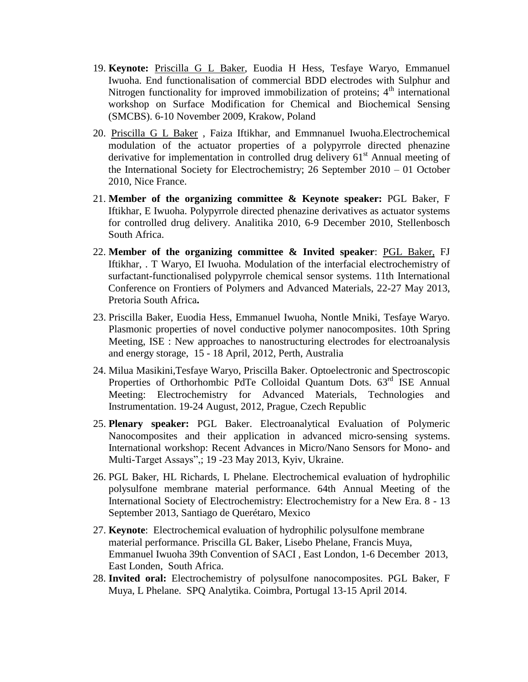- 19. **Keynote:** Priscilla G L Baker, Euodia H Hess, Tesfaye Waryo, Emmanuel Iwuoha. End functionalisation of commercial BDD electrodes with Sulphur and Nitrogen functionality for improved immobilization of proteins;  $4<sup>th</sup>$  international workshop on Surface Modification for Chemical and Biochemical Sensing (SMCBS). 6-10 November 2009, Krakow, Poland
- 20. Priscilla G L Baker , Faiza Iftikhar, and Emmnanuel Iwuoha.Electrochemical modulation of the actuator properties of a polypyrrole directed phenazine derivative for implementation in controlled drug delivery  $61<sup>st</sup>$  Annual meeting of the International Society for Electrochemistry; 26 September 2010 – 01 October 2010, Nice France.
- 21. **Member of the organizing committee & Keynote speaker:** PGL Baker, F Iftikhar, E Iwuoha. Polypyrrole directed phenazine derivatives as actuator systems for controlled drug delivery. Analitika 2010, 6-9 December 2010, Stellenbosch South Africa.
- 22. **Member of the organizing committee & Invited speaker**: PGL Baker, FJ Iftikhar, . T Waryo, EI Iwuoha. Modulation of the interfacial electrochemistry of surfactant-functionalised polypyrrole chemical sensor systems. 11th International Conference on Frontiers of Polymers and Advanced Materials, 22-27 May 2013, Pretoria South Africa**.**
- 23. Priscilla Baker, Euodia Hess, Emmanuel Iwuoha, Nontle Mniki, Tesfaye Waryo. Plasmonic properties of novel conductive polymer nanocomposites. 10th Spring Meeting, ISE : New approaches to nanostructuring electrodes for electroanalysis and energy storage, 15 - 18 April, 2012, Perth, Australia
- 24. Milua Masikini,Tesfaye Waryo, Priscilla Baker. Optoelectronic and Spectroscopic Properties of Orthorhombic PdTe Colloidal Quantum Dots. 63<sup>rd</sup> ISE Annual Meeting: Electrochemistry for Advanced Materials, Technologies and Instrumentation. 19-24 August, 2012, Prague, Czech Republic
- 25. **Plenary speaker:** PGL Baker. Electroanalytical Evaluation of Polymeric Nanocomposites and their application in advanced micro-sensing systems. International workshop: Recent Advances in Micro/Nano Sensors for Mono- and Multi-Target Assays",; 19 -23 May 2013, Kyiv, Ukraine.
- 26. PGL Baker, HL Richards, L Phelane. Electrochemical evaluation of hydrophilic polysulfone membrane material performance. 64th Annual Meeting of the International Society of Electrochemistry: Electrochemistry for a New Era. 8 - 13 September 2013, Santiago de Querétaro, Mexico
- 27. **Keynote**: Electrochemical evaluation of hydrophilic polysulfone membrane material performance. Priscilla GL Baker, Lisebo Phelane, Francis Muya, Emmanuel Iwuoha 39th Convention of SACI , East London, 1-6 December 2013, East Londen, South Africa.
- 28. **Invited oral:** Electrochemistry of polysulfone nanocomposites. PGL Baker, F Muya, L Phelane. SPQ Analytika. Coimbra, Portugal 13-15 April 2014.